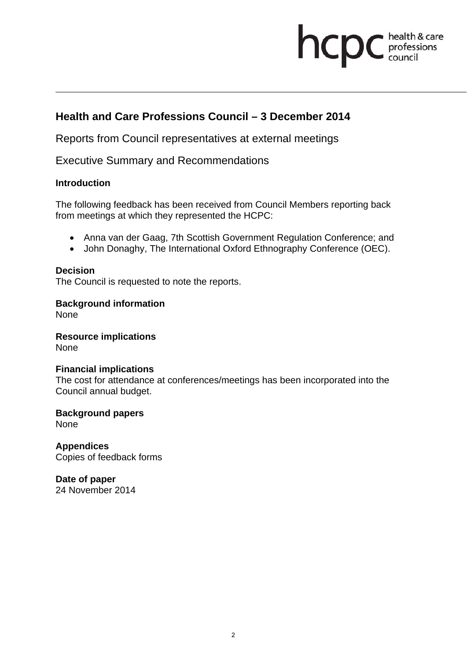# **health & care**

# **Health and Care Professions Council – 3 December 2014**

Reports from Council representatives at external meetings

Executive Summary and Recommendations

## **Introduction**

The following feedback has been received from Council Members reporting back from meetings at which they represented the HCPC:

- Anna van der Gaag, 7th Scottish Government Regulation Conference; and
- John Donaghy, The International Oxford Ethnography Conference (OEC).

## **Decision**

The Council is requested to note the reports.

**Background information** 

None

**Resource implications**  None

#### **Financial implications**

The cost for attendance at conferences/meetings has been incorporated into the Council annual budget.

**Background papers** 

None

**Appendices**  Copies of feedback forms

**Date of paper**  24 November 2014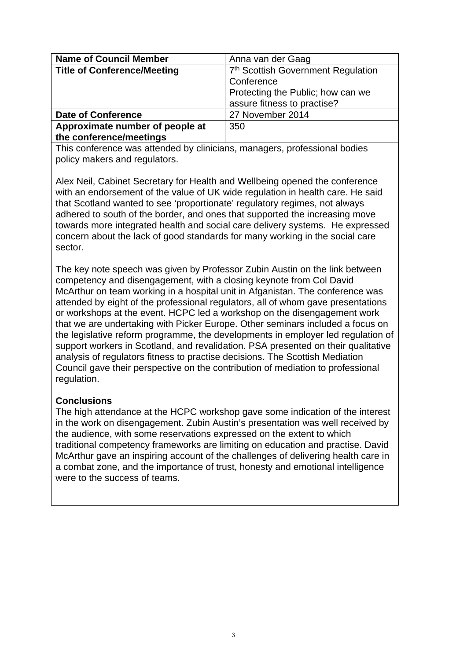| <b>Name of Council Member</b>      | Anna van der Gaag                              |
|------------------------------------|------------------------------------------------|
| <b>Title of Conference/Meeting</b> | 7 <sup>th</sup> Scottish Government Regulation |
|                                    | Conference                                     |
|                                    | Protecting the Public; how can we              |
|                                    | assure fitness to practise?                    |
| <b>Date of Conference</b>          | 27 November 2014                               |
| Approximate number of people at    | 350                                            |
| the conference/meetings            |                                                |

This conference was attended by clinicians, managers, professional bodies policy makers and regulators.

Alex Neil, Cabinet Secretary for Health and Wellbeing opened the conference with an endorsement of the value of UK wide regulation in health care. He said that Scotland wanted to see 'proportionate' regulatory regimes, not always adhered to south of the border, and ones that supported the increasing move towards more integrated health and social care delivery systems. He expressed concern about the lack of good standards for many working in the social care sector.

The key note speech was given by Professor Zubin Austin on the link between competency and disengagement, with a closing keynote from Col David McArthur on team working in a hospital unit in Afganistan. The conference was attended by eight of the professional regulators, all of whom gave presentations or workshops at the event. HCPC led a workshop on the disengagement work that we are undertaking with Picker Europe. Other seminars included a focus on the legislative reform programme, the developments in employer led regulation of support workers in Scotland, and revalidation. PSA presented on their qualitative analysis of regulators fitness to practise decisions. The Scottish Mediation Council gave their perspective on the contribution of mediation to professional regulation.

#### **Conclusions**

The high attendance at the HCPC workshop gave some indication of the interest in the work on disengagement. Zubin Austin's presentation was well received by the audience, with some reservations expressed on the extent to which traditional competency frameworks are limiting on education and practise. David McArthur gave an inspiring account of the challenges of delivering health care in a combat zone, and the importance of trust, honesty and emotional intelligence were to the success of teams.